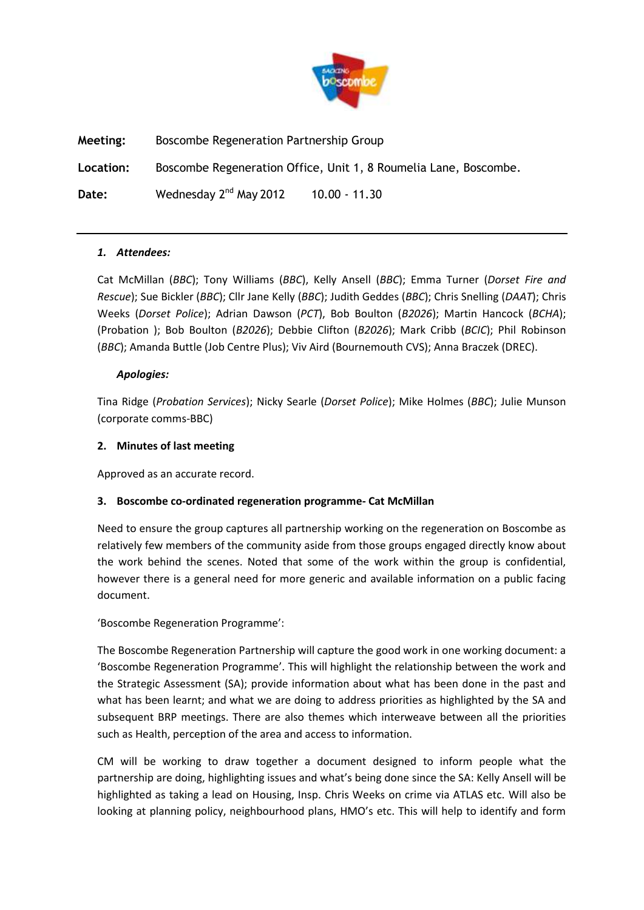

**Meeting:** Boscombe Regeneration Partnership Group

**Location:** Boscombe Regeneration Office, Unit 1, 8 Roumelia Lane, Boscombe.

**Date:** Wednesday 2nd May 2012 10.00 - 11.30

## *1. Attendees:*

Cat McMillan (*BBC*); Tony Williams (*BBC*), Kelly Ansell (*BBC*); Emma Turner (*Dorset Fire and Rescue*); Sue Bickler (*BBC*); Cllr Jane Kelly (*BBC*); Judith Geddes (*BBC*); Chris Snelling (*DAAT*); Chris Weeks (*Dorset Police*); Adrian Dawson (*PCT*), Bob Boulton (*B2026*); Martin Hancock (*BCHA*); (Probation ); Bob Boulton (*B2026*); Debbie Clifton (*B2026*); Mark Cribb (*BCIC*); Phil Robinson (*BBC*); Amanda Buttle (Job Centre Plus); Viv Aird (Bournemouth CVS); Anna Braczek (DREC).

## *Apologies:*

Tina Ridge (*Probation Services*); Nicky Searle (*Dorset Police*); Mike Holmes (*BBC*); Julie Munson (corporate comms-BBC)

## **2. Minutes of last meeting**

Approved as an accurate record.

# **3. Boscombe co-ordinated regeneration programme- Cat McMillan**

Need to ensure the group captures all partnership working on the regeneration on Boscombe as relatively few members of the community aside from those groups engaged directly know about the work behind the scenes. Noted that some of the work within the group is confidential, however there is a general need for more generic and available information on a public facing document.

'Boscombe Regeneration Programme':

The Boscombe Regeneration Partnership will capture the good work in one working document: a 'Boscombe Regeneration Programme'. This will highlight the relationship between the work and the Strategic Assessment (SA); provide information about what has been done in the past and what has been learnt; and what we are doing to address priorities as highlighted by the SA and subsequent BRP meetings. There are also themes which interweave between all the priorities such as Health, perception of the area and access to information.

CM will be working to draw together a document designed to inform people what the partnership are doing, highlighting issues and what's being done since the SA: Kelly Ansell will be highlighted as taking a lead on Housing, Insp. Chris Weeks on crime via ATLAS etc. Will also be looking at planning policy, neighbourhood plans, HMO's etc. This will help to identify and form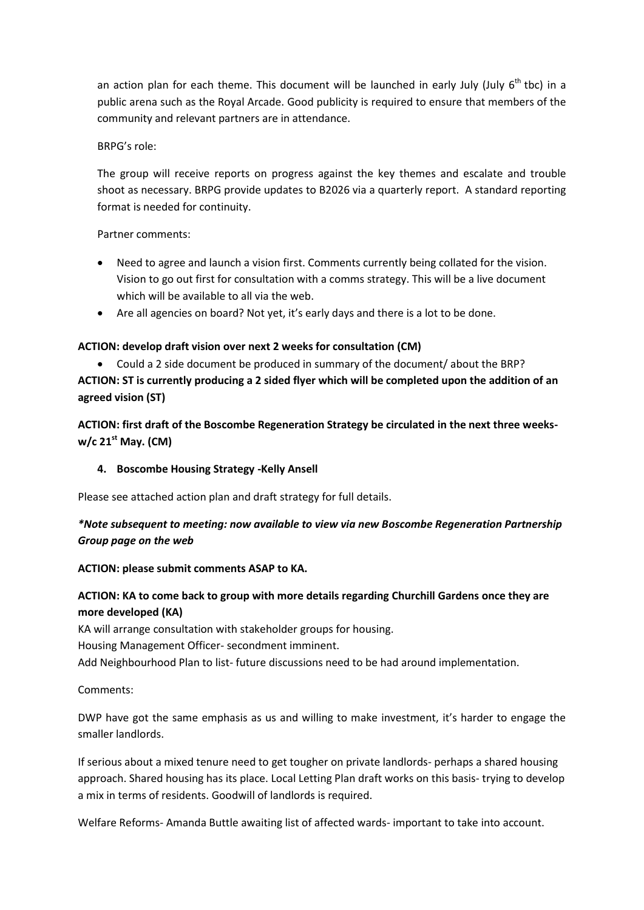an action plan for each theme. This document will be launched in early July (July  $6<sup>th</sup>$  tbc) in a public arena such as the Royal Arcade. Good publicity is required to ensure that members of the community and relevant partners are in attendance.

#### BRPG's role:

The group will receive reports on progress against the key themes and escalate and trouble shoot as necessary. BRPG provide updates to B2026 via a quarterly report. A standard reporting format is needed for continuity.

#### Partner comments:

- Need to agree and launch a vision first. Comments currently being collated for the vision. Vision to go out first for consultation with a comms strategy. This will be a live document which will be available to all via the web.
- Are all agencies on board? Not yet, it's early days and there is a lot to be done.

### **ACTION: develop draft vision over next 2 weeks for consultation (CM)**

 Could a 2 side document be produced in summary of the document/ about the BRP? **ACTION: ST is currently producing a 2 sided flyer which will be completed upon the addition of an agreed vision (ST)**

**ACTION: first draft of the Boscombe Regeneration Strategy be circulated in the next three weeksw/c 21st May. (CM)**

### **4. Boscombe Housing Strategy -Kelly Ansell**

Please see attached action plan and draft strategy for full details.

# *\*Note subsequent to meeting: now available to view via new Boscombe Regeneration Partnership Group page on the web*

### **ACTION: please submit comments ASAP to KA.**

## **ACTION: KA to come back to group with more details regarding Churchill Gardens once they are more developed (KA)**

KA will arrange consultation with stakeholder groups for housing.

Housing Management Officer- secondment imminent.

Add Neighbourhood Plan to list- future discussions need to be had around implementation.

Comments:

DWP have got the same emphasis as us and willing to make investment, it's harder to engage the smaller landlords.

If serious about a mixed tenure need to get tougher on private landlords- perhaps a shared housing approach. Shared housing has its place. Local Letting Plan draft works on this basis- trying to develop a mix in terms of residents. Goodwill of landlords is required.

Welfare Reforms- Amanda Buttle awaiting list of affected wards- important to take into account.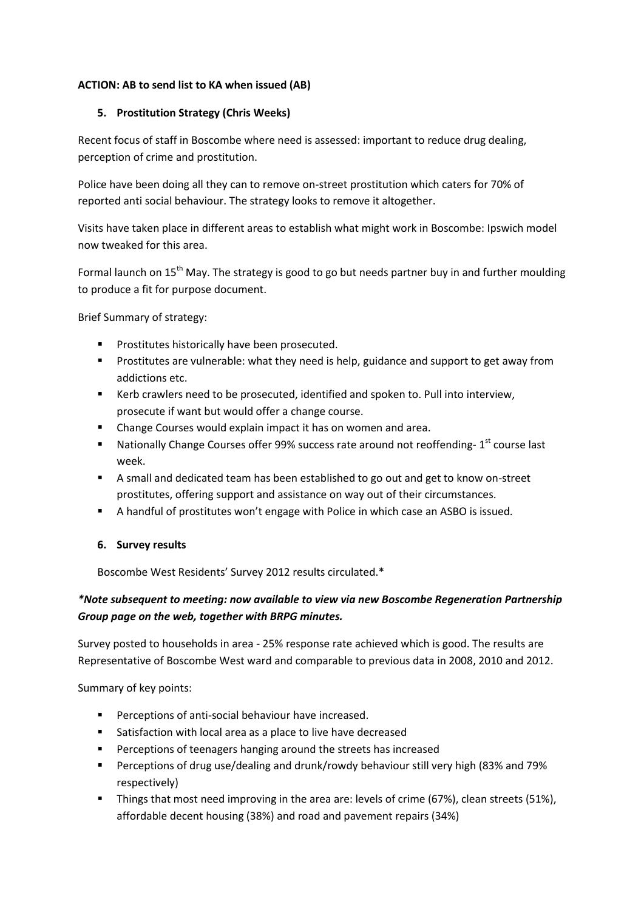#### **ACTION: AB to send list to KA when issued (AB)**

#### **5. Prostitution Strategy (Chris Weeks)**

Recent focus of staff in Boscombe where need is assessed: important to reduce drug dealing, perception of crime and prostitution.

Police have been doing all they can to remove on-street prostitution which caters for 70% of reported anti social behaviour. The strategy looks to remove it altogether.

Visits have taken place in different areas to establish what might work in Boscombe: Ipswich model now tweaked for this area.

Formal launch on 15<sup>th</sup> May. The strategy is good to go but needs partner buy in and further moulding to produce a fit for purpose document.

Brief Summary of strategy:

- Prostitutes historically have been prosecuted.
- Prostitutes are vulnerable: what they need is help, guidance and support to get away from addictions etc.
- Kerb crawlers need to be prosecuted, identified and spoken to. Pull into interview, prosecute if want but would offer a change course.
- Change Courses would explain impact it has on women and area.
- $\blacksquare$  Nationally Change Courses offer 99% success rate around not reoffending-  $1^\text{st}$  course last week.
- A small and dedicated team has been established to go out and get to know on-street prostitutes, offering support and assistance on way out of their circumstances.
- A handful of prostitutes won't engage with Police in which case an ASBO is issued.

#### **6. Survey results**

Boscombe West Residents' Survey 2012 results circulated.\*

# *\*Note subsequent to meeting: now available to view via new Boscombe Regeneration Partnership Group page on the web, together with BRPG minutes.*

Survey posted to households in area - 25% response rate achieved which is good. The results are Representative of Boscombe West ward and comparable to previous data in 2008, 2010 and 2012.

Summary of key points:

- **Perceptions of anti-social behaviour have increased.**
- Satisfaction with local area as a place to live have decreased
- **Perceptions of teenagers hanging around the streets has increased**
- Perceptions of drug use/dealing and drunk/rowdy behaviour still very high (83% and 79% respectively)
- Things that most need improving in the area are: levels of crime (67%), clean streets (51%), affordable decent housing (38%) and road and pavement repairs (34%)